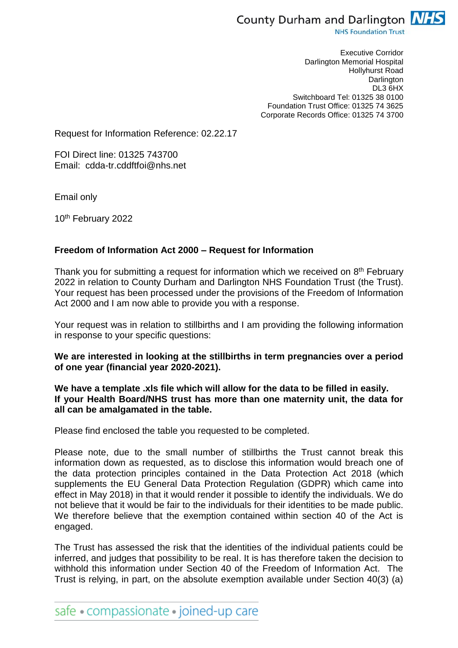

**NHS Foundation Trust** 

Executive Corridor Darlington Memorial Hospital Hollyhurst Road **Darlington** DL3 6HX Switchboard Tel: 01325 38 0100 Foundation Trust Office: 01325 74 3625 Corporate Records Office: 01325 74 3700

Request for Information Reference: 02.22.17

FOI Direct line: 01325 743700 Email: cdda-tr.cddftfoi@nhs.net

Email only

10th February 2022

## **Freedom of Information Act 2000 – Request for Information**

Thank you for submitting a request for information which we received on 8<sup>th</sup> February 2022 in relation to County Durham and Darlington NHS Foundation Trust (the Trust). Your request has been processed under the provisions of the Freedom of Information Act 2000 and I am now able to provide you with a response.

Your request was in relation to stillbirths and I am providing the following information in response to your specific questions:

**We are interested in looking at the stillbirths in term pregnancies over a period of one year (financial year 2020-2021).**

## **We have a template .xls file which will allow for the data to be filled in easily. If your Health Board/NHS trust has more than one maternity unit, the data for all can be amalgamated in the table.**

Please find enclosed the table you requested to be completed.

Please note, due to the small number of stillbirths the Trust cannot break this information down as requested, as to disclose this information would breach one of the data protection principles contained in the Data Protection Act 2018 (which supplements the EU General Data Protection Regulation (GDPR) which came into effect in May 2018) in that it would render it possible to identify the individuals. We do not believe that it would be fair to the individuals for their identities to be made public. We therefore believe that the exemption contained within section 40 of the Act is engaged.

The Trust has assessed the risk that the identities of the individual patients could be inferred, and judges that possibility to be real. It is has therefore taken the decision to withhold this information under Section 40 of the Freedom of Information Act. The Trust is relying, in part, on the absolute exemption available under Section 40(3) (a)